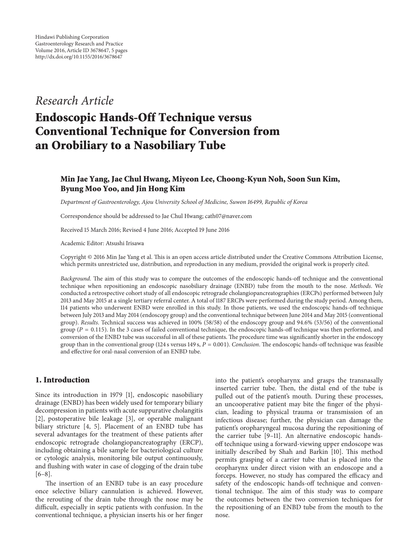## *Research Article*

# **Endoscopic Hands-Off Technique versus Conventional Technique for Conversion from an Orobiliary to a Nasobiliary Tube**

### **Min Jae Yang, Jae Chul Hwang, Miyeon Lee, Choong-Kyun Noh, Soon Sun Kim, Byung Moo Yoo, and Jin Hong Kim**

*Department of Gastroenterology, Ajou University School of Medicine, Suwon 16499, Republic of Korea*

Correspondence should be addressed to Jae Chul Hwang; cath07@naver.com

Received 15 March 2016; Revised 4 June 2016; Accepted 19 June 2016

Academic Editor: Atsushi Irisawa

Copyright © 2016 Min Jae Yang et al. This is an open access article distributed under the Creative Commons Attribution License, which permits unrestricted use, distribution, and reproduction in any medium, provided the original work is properly cited.

*Background*. The aim of this study was to compare the outcomes of the endoscopic hands-off technique and the conventional technique when repositioning an endoscopic nasobiliary drainage (ENBD) tube from the mouth to the nose. *Methods*. We conducted a retrospective cohort study of all endoscopic retrograde cholangiopancreatographies (ERCPs) performed between July 2013 and May 2015 at a single tertiary referral center. A total of 1187 ERCPs were performed during the study period. Among them, 114 patients who underwent ENBD were enrolled in this study. In those patients, we used the endoscopic hands-off technique between July 2013 and May 2014 (endoscopy group) and the conventional technique between June 2014 and May 2015 (conventional group). *Results*. Technical success was achieved in 100% (58/58) of the endoscopy group and 94.6% (53/56) of the conventional group ( $P = 0.115$ ). In the 3 cases of failed conventional technique, the endoscopic hands-off technique was then performed, and conversion of the ENBD tube was successful in all of these patients. The procedure time was significantly shorter in the endoscopy group than in the conventional group (124 s versus 149 s,  $P = 0.001$ ). *Conclusion*. The endoscopic hands-off technique was feasible and effective for oral-nasal conversion of an ENBD tube.

#### **1. Introduction**

Since its introduction in 1979 [1], endoscopic nasobiliary drainage (ENBD) has been widely used for temporary biliary decompression in patients with acute suppurative cholangitis [2], postoperative bile leakage [3], or operable malignant biliary stricture [4, 5]. Placement of an ENBD tube has several advantages for the treatment of these patients after endoscopic retrograde cholangiopancreatography (ERCP), including obtaining a bile sample for bacteriological culture or cytologic analysis, monitoring bile output continuously, and flushing with water in case of clogging of the drain tube [6–8].

The insertion of an ENBD tube is an easy procedure once selective biliary cannulation is achieved. However, the rerouting of the drain tube through the nose may be difficult, especially in septic patients with confusion. In the conventional technique, a physician inserts his or her finger into the patient's oropharynx and grasps the transnasally inserted carrier tube. Then, the distal end of the tube is pulled out of the patient's mouth. During these processes, an uncooperative patient may bite the finger of the physician, leading to physical trauma or transmission of an infectious disease; further, the physician can damage the patient's oropharyngeal mucosa during the repositioning of the carrier tube [9–11]. An alternative endoscopic handsoff technique using a forward-viewing upper endoscope was initially described by Shah and Barkin [10]. This method permits grasping of a carrier tube that is placed into the oropharynx under direct vision with an endoscope and a forceps. However, no study has compared the efficacy and safety of the endoscopic hands-off technique and conventional technique. The aim of this study was to compare the outcomes between the two conversion techniques for the repositioning of an ENBD tube from the mouth to the nose.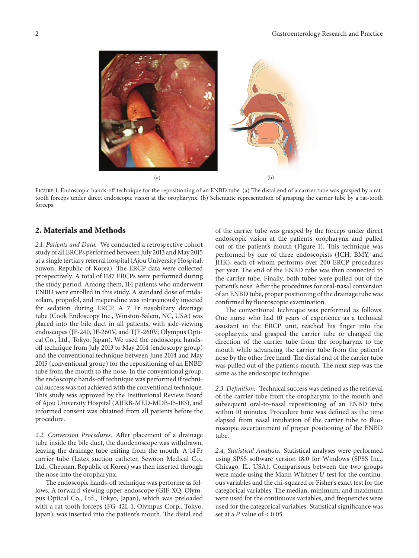2 Gastroenterology Research and Practice



FIGURE 1: Endoscopic hands-off technique for the repositioning of an ENBD tube. (a) The distal end of a carrier tube was grasped by a rattooth forceps under direct endoscopic vision at the oropharynx. (b) Schematic representation of grasping the carrier tube by a rat-tooth forceps.

#### **2. Materials and Methods**

*2.1. Patients and Data.* We conducted a retrospective cohort study of all ERCPs performed between July 2013 and May 2015 at a single tertiary referral hospital (Ajou University Hospital, Suwon, Republic of Korea). The ERCP data were collected prospectively. A total of 1187 ERCPs were performed during the study period. Among them, 114 patients who underwent ENBD were enrolled in this study. A standard dose of midazolam, propofol, and meperidine was intravenously injected for sedation during ERCP. A 7 Fr nasobiliary drainage tube (Cook Endoscopy Inc., Winston-Salem, NC, USA) was placed into the bile duct in all patients, with side-viewing endoscopes (JF-240, JF-260V, and TJF-260V; Olympus Optical Co., Ltd., Tokyo, Japan). We used the endoscopic handsoff technique from July 2013 to May 2014 (endoscopy group) and the conventional technique between June 2014 and May 2015 (conventional group) for the repositioning of an ENBD tube from the mouth to the nose. In the conventional group, the endoscopic hands-off technique was performed if technical success was not achieved with the conventional technique. This study was approved by the Institutional Review Board of Ajou University Hospital (AJIRB-MED-MDB-15-183), and informed consent was obtained from all patients before the procedure.

*2.2. Conversion Procedures.* After placement of a drainage tube inside the bile duct, the duodenoscope was withdrawn, leaving the drainage tube exiting from the mouth. A 14 Fr carrier tube (Latex suction catheter, Sewoon Medical Co., Ltd., Cheonan, Republic of Korea) was then inserted through the nose into the oropharynx.

The endoscopic hands-off technique was performe as follows. A forward-viewing upper endoscope (GIF-XQ; Olympus Optical Co., Ltd., Tokyo, Japan), which was preloaded with a rat-tooth forceps (FG-42L-1; Olympus Corp., Tokyo, Japan), was inserted into the patient's mouth. The distal end of the carrier tube was grasped by the forceps under direct endoscopic vision at the patient's oropharynx and pulled out of the patient's mouth (Figure 1). This technique was performed by one of three endoscopists (JCH, BMY, and JHK), each of whom performs over 200 ERCP procedures per year. The end of the ENBD tube was then connected to the carrier tube. Finally, both tubes were pulled out of the patient's nose. After the procedures for oral-nasal conversion of an ENBD tube, proper positioning of the drainage tube was confirmed by fluoroscopic examination.

The conventional technique was performed as follows. One nurse who had 10 years of experience as a technical assistant in the ERCP unit, reached his finger into the oropharynx and grasped the carrier tube or changed the direction of the carrier tube from the oropharynx to the mouth while advancing the carrier tube from the patient's nose by the other free hand. The distal end of the carrier tube was pulled out of the patient's mouth. The next step was the same as the endoscopic technique.

*2.3. Definition.* Technical success was defined as the retrieval of the carrier tube from the oropharynx to the mouth and subsequent oral-to-nasal repositioning of an ENBD tube within 10 minutes. Procedure time was defined as the time elapsed from nasal intubation of the carrier tube to fluoroscopic ascertainment of proper positioning of the ENBD tube.

*2.4. Statistical Analysis.* Statistical analyses were performed using SPSS software version 18.0 for Windows (SPSS Inc., Chicago, IL, USA). Comparisons between the two groups were made using the Mann-Whitney  $U$  test for the continuous variables and the chi-squared or Fisher's exact test for the categorical variables. The median, minimum, and maximum were used for the continuous variables, and frequencies were used for the categorical variables. Statistical significance was set at a  $P$  value of  $< 0.05$ .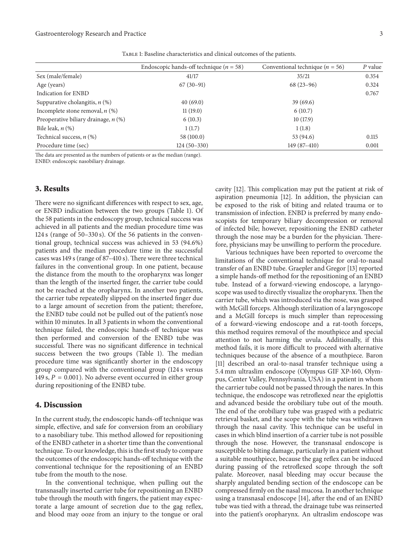| TABLE 1: Baseline characteristics and clinical outcomes of the patients. |  |  |  |
|--------------------------------------------------------------------------|--|--|--|
|                                                                          |  |  |  |

|                                        | Endoscopic hands-off technique ( $n = 58$ ) | Conventional technique ( $n = 56$ ) | $P$ value |
|----------------------------------------|---------------------------------------------|-------------------------------------|-----------|
| Sex (male/female)                      | 41/17                                       | 35/21                               | 0.354     |
| Age (years)                            | $67(30-91)$                                 | $68(23-96)$                         | 0.324     |
| Indication for ENBD                    |                                             |                                     | 0.767     |
| Suppurative cholangitis, $n$ (%)       | 40(69.0)                                    | 39(69.6)                            |           |
| Incomplete stone removal, $n$ (%)      | 11(19.0)                                    | 6(10.7)                             |           |
| Preoperative biliary drainage, $n$ (%) | 6(10.3)                                     | 10(17.9)                            |           |
| Bile leak, $n$ $(\%)$                  | 1(1.7)                                      | 1(1.8)                              |           |
| Technical success, $n$ (%)             | 58 (100.0)                                  | 53 (94.6)                           | 0.115     |
| Procedure time (sec)                   | $124(50-330)$                               | $149(87-410)$                       | 0.001     |

The data are presented as the numbers of patients or as the median (range). ENBD: endoscopic nasobiliary drainage.

#### **3. Results**

There were no significant differences with respect to sex, age, or ENBD indication between the two groups (Table 1). Of the 58 patients in the endoscopy group, technical success was achieved in all patients and the median procedure time was 124 s (range of 50–330 s). Of the 56 patients in the conventional group, technical success was achieved in 53 (94.6%) patients and the median procedure time in the successful cases was 149 s (range of 87–410 s). There were three technical failures in the conventional group. In one patient, because the distance from the mouth to the oropharynx was longer than the length of the inserted finger, the carrier tube could not be reached at the oropharynx. In another two patients, the carrier tube repeatedly slipped on the inserted finger due to a large amount of secretion from the patient; therefore, the ENBD tube could not be pulled out of the patient's nose within 10 minutes. In all 3 patients in whom the conventional technique failed, the endoscopic hands-off technique was then performed and conversion of the ENBD tube was successful. There was no significant difference in technical success between the two groups (Table 1). The median procedure time was significantly shorter in the endoscopy group compared with the conventional group (124 s versus 149 s,  $P = 0.001$ ). No adverse event occurred in either group during repositioning of the ENBD tube.

#### **4. Discussion**

In the current study, the endoscopic hands-off technique was simple, effective, and safe for conversion from an orobiliary to a nasobiliary tube. This method allowed for repositioning of the ENBD catheter in a shorter time than the conventional technique. To our knowledge, this is the first study to compare the outcomes of the endoscopic hands-off technique with the conventional technique for the repositioning of an ENBD tube from the mouth to the nose.

In the conventional technique, when pulling out the transnasally inserted carrier tube for repositioning an ENBD tube through the mouth with fingers, the patient may expectorate a large amount of secretion due to the gag reflex, and blood may ooze from an injury to the tongue or oral cavity [12]. This complication may put the patient at risk of aspiration pneumonia [12]. In addition, the physician can be exposed to the risk of biting and related trauma or to transmission of infection. ENBD is preferred by many endoscopists for temporary biliary decompression or removal of infected bile; however, repositioning the ENBD catheter through the nose may be a burden for the physician. Therefore, physicians may be unwilling to perform the procedure.

Various techniques have been reported to overcome the limitations of the conventional technique for oral-to-nasal transfer of an ENBD tube. Graepler and Gregor [13] reported a simple hands-off method for the repositioning of an ENBD tube. Instead of a forward-viewing endoscope, a laryngoscope was used to directly visualize the oropharynx. Then the carrier tube, which was introduced via the nose, was grasped with McGill forceps. Although sterilization of a laryngoscope and a McGill forceps is much simpler than reprocessing of a forward-viewing endoscope and a rat-tooth forceps, this method requires removal of the mouthpiece and special attention to not harming the uvula. Additionally, if this method fails, it is more difficult to proceed with alternative techniques because of the absence of a mouthpiece. Baron [11] described an oral-to-nasal transfer technique using a 5.4 mm ultraslim endoscope (Olympus GIF XP-160, Olympus, Center Valley, Pennsylvania, USA) in a patient in whom the carrier tube could not be passed through the nares. In this technique, the endoscope was retroflexed near the epiglottis and advanced beside the orobiliary tube out of the mouth. The end of the orobiliary tube was grasped with a pediatric retrieval basket, and the scope with the tube was withdrawn through the nasal cavity. This technique can be useful in cases in which blind insertion of a carrier tube is not possible through the nose. However, the transnasal endoscope is susceptible to biting damage, particularly in a patient without a suitable mouthpiece, because the gag reflex can be induced during passing of the retroflexed scope through the soft palate. Moreover, nasal bleeding may occur because the sharply angulated bending section of the endoscope can be compressed firmly on the nasal mucosa. In another technique using a transnasal endoscope [14], after the end of an ENBD tube was tied with a thread, the drainage tube was reinserted into the patient's oropharynx. An ultraslim endoscope was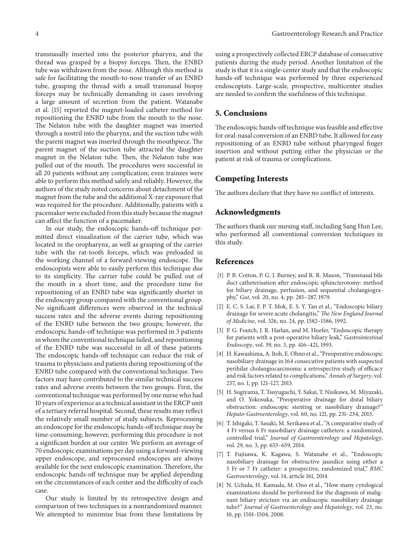transnasally inserted into the posterior pharynx, and the thread was grasped by a biopsy forceps. Then, the ENBD tube was withdrawn from the nose. Although this method is safe for facilitating the mouth-to-nose transfer of an ENBD tube, grasping the thread with a small transnasal biopsy forceps may be technically demanding in cases involving a large amount of secretion from the patient. Watanabe et al. [15] reported the magnet-loaded catheter method for repositioning the ENBD tube from the mouth to the nose. The Nelaton tube with the daughter magnet was inserted through a nostril into the pharynx, and the suction tube with the parent magnet was inserted through the mouthpiece. The parent magnet of the suction tube attracted the daughter magnet in the Nelaton tube. Then, the Nelaton tube was pulled out of the mouth. The procedures were successful in all 20 patients without any complication; even trainees were able to perform this method safely and reliably. However, the authors of the study noted concerns about detachment of the magnet from the tube and the additional X-ray exposure that was required for the procedure. Additionally, patients with a pacemaker were excluded from this study because the magnet can affect the function of a pacemaker.

In our study, the endoscopic hands-off technique permitted direct visualization of the carrier tube, which was located in the oropharynx, as well as grasping of the carrier tube with the rat-tooth forceps, which was preloaded in the working channel of a forward-viewing endoscope. The endoscopists were able to easily perform this technique due to its simplicity. The carrier tube could be pulled out of the mouth in a short time, and the procedure time for repositioning of an ENBD tube was significantly shorter in the endoscopy group compared with the conventional group. No significant differences were observed in the technical success rates and the adverse events during repositioning of the ENBD tube between the two groups; however, the endoscopic hands-off technique was performed in 3 patients in whom the conventional technique failed, and repositioning of the ENBD tube was successful in all of these patients. The endoscopic hands-off technique can reduce the risk of trauma to physicians and patients during repositioning of the ENBD tube compared with the conventional technique. Two factors may have contributed to the similar technical success rates and adverse events between the two groups. First, the conventional technique was performed by one nurse who had 10 years of experience as a technical assistant in the ERCP unit of a tertiary referral hospital. Second, these results may reflect the relatively small number of study subjects. Reprocessing an endoscope for the endoscopic hands-off technique may be time-consuming; however, performing this procedure is not a significant burden at our center. We perform an average of 70 endoscopic examinations per day using a forward-viewing upper endoscope, and reprocessed endoscopes are always available for the next endoscopic examination. Therefore, the endoscopic hands-off technique may be applied depending on the circumstances of each center and the difficulty of each case.

Our study is limited by its retrospective design and comparison of two techniques in a nonrandomized manner. We attempted to minimize bias from these limitations by

using a prospectively collected ERCP database of consecutive patients during the study period. Another limitation of the study is that it is a single-center study and that the endoscopic hands-off technique was performed by three experienced endoscopists. Large-scale, prospective, multicenter studies are needed to confirm the usefulness of this technique.

#### **5. Conclusions**

The endoscopic hands-off technique was feasible and effective for oral-nasal conversion of an ENBD tube. It allowed for easy repositioning of an ENBD tube without pharyngeal finger insertion and without putting either the physician or the patient at risk of trauma or complications.

#### **Competing Interests**

The authors declare that they have no conflict of interests.

#### **Acknowledgments**

The authors thank our nursing staff, including Sang Hun Lee, who performed all conventional conversion techniques in this study.

#### **References**

- [1] P. B. Cotton, P. G. J. Burney, and R. R. Mason, "Transnasal bile duct catheterisation after endoscopic sphincterotomy: method for biliary drainage, perfusion, and sequential cholangiography," *Gut*, vol. 20, no. 4, pp. 285–287, 1979.
- [2] E. C. S. Lai, F. P. T. Mok, E. S. Y. Tan et al., "Endoscopic biliary drainage for severe acute cholangitis," *The New England Journal of Medicine*, vol. 326, no. 24, pp. 1582–1586, 1992.
- [3] P. G. Foutch, J. R. Harlan, and M. Hoefer, "Endoscopic therapy for patients with a post-operative biliary leak," *Gastrointestinal Endoscopy*, vol. 39, no. 3, pp. 416–421, 1993.
- [4] H. Kawashima, A. Itoh, E. Ohno et al., "Preoperative endoscopic nasobiliary drainage in 164 consecutive patients with suspected perihilar cholangiocarcinoma: a retrospective study of efficacy and risk factors related to complications," *Annals of Surgery*, vol. 257, no. 1, pp. 121–127, 2013.
- [5] H. Sugiyama, T. Tsuyuguchi, Y. Sakai, T. Nisikawa, M. Miyazaki, and O. Yokosuka, "Preoperative drainage for distal biliary obstruction: endoscopic stenting or nasobiliary drainage?" *Hepato-Gastroenterology*, vol. 60, no. 121, pp. 231–234, 2013.
- [6] T. Ishigaki, T. Sasaki, M. Serikawa et al., "A comparative study of 4 Fr versus 6 Fr nasobiliary drainage catheters: a randomized, controlled trial," *Journal of Gastroenterology and Hepatology*, vol. 29, no. 3, pp. 653–659, 2014.
- [7] T. Fujisawa, K. Kagawa, S. Watanabe et al., "Endoscopic nasobiliary drainage for obstructive jaundice using either a 5 Fr or 7 Fr catheter: a prospective, randomized trial," *BMC Gastroenterology*, vol. 14, article 161, 2014.
- [8] N. Uchida, H. Kamada, M. Ono et al., "How many cytological examinations should be performed for the diagnosis of malignant biliary stricture via an endoscopic nasobiliary drainage tube?" *Journal of Gastroenterology and Hepatology*, vol. 23, no. 10, pp. 1501–1504, 2008.